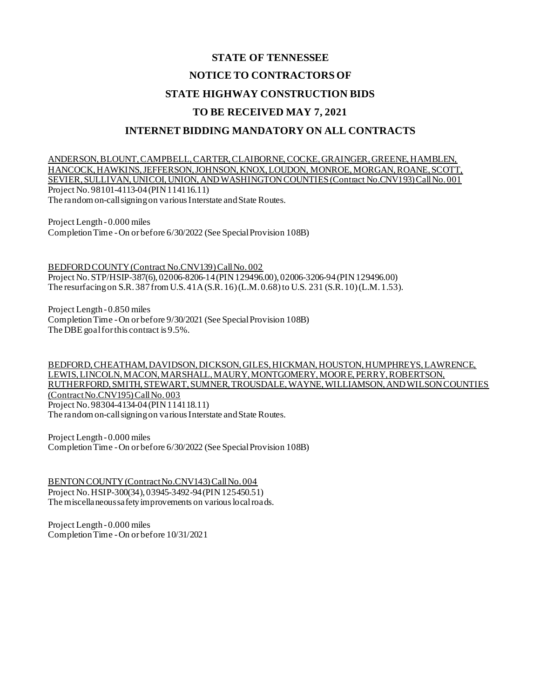# **STATE OF TENNESSEE NOTICE TO CONTRACTORS OF STATE HIGHWAY CONSTRUCTION BIDS TO BE RECEIVED MAY 7, 2021 INTERNET BIDDING MANDATORY ON ALL CONTRACTS**

ANDERSON, BLOUNT, CAMPBELL, CARTER, CLAIBORNE, COCKE, GRAINGER, GREENE, HAMBLEN, HANCOCK, HAWKINS, JEFFERSON, JOHNSON, KNOX, LOUDON, MONROE, MORGAN, ROANE, SCOTT, SEVIER, SULLIVAN, UNICOI, UNION, AND WASHINGTON COUNTIES (Contract No.CNV193) Call No. 001 Project No. 98101-4113-04 (PIN 114116.11) The random on-call signing on various Interstate and State Routes.

Project Length - 0.000 miles Completion Time -On or before 6/30/2022 (See Special Provision 108B)

BEDFORD COUNTY (Contract No.CNV139) Call No. 002 Project No. STP/HSIP-387(6), 02006-8206-14 (PIN 129496.00), 02006-3206-94 (PIN 129496.00) The resurfacing on S.R. 387 from U.S. 41A (S.R. 16) (L.M. 0.68) to U.S. 231 (S.R. 10) (L.M. 1.53).

Project Length - 0.850 miles Completion Time -On or before 9/30/2021 (See Special Provision 108B) The DBE goal for this contract is 9.5%.

BEDFORD, CHEATHAM, DAVIDSON, DICKSON, GILES, HICKMAN, HOUSTON, HUMPHREYS, LAWRENCE, LEWIS, LINCOLN, MACON, MARSHALL, MAURY, MONTGOMERY, MOORE, PERRY, ROBERTSON, RUTHERFORD, SMITH, STEWART, SUMNER, TROUSDALE, WAYNE, WILLIAMSON, AND WILSON COUNTIES (Contract No.CNV195) Call No. 003 Project No. 98304-4134-04 (PIN 114118.11) The random on-call signing on various Interstate and State Routes.

Project Length - 0.000 miles Completion Time -On or before 6/30/2022 (See Special Provision 108B)

BENTON COUNTY (Contract No.CNV143) Call No. 004 Project No. HSIP-300(34), 03945-3492-94 (PIN 125450.51) The miscellaneous safety improvements on various local roads.

Project Length - 0.000 miles Completion Time -On or before 10/31/2021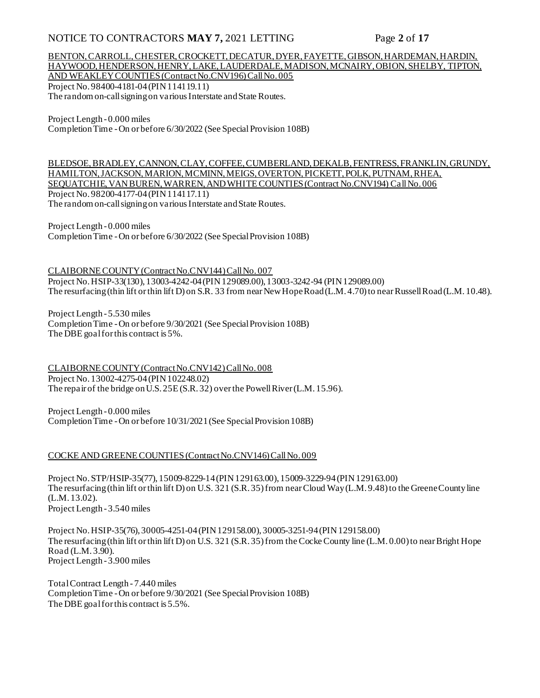### NOTICE TO CONTRACTORS MAY 7, 2021 LETTING Page 2 of 17

### BENTON, CARROLL, CHESTER, CROCKETT, DECATUR, DYER, FAYETTE, GIBSON, HARDEMAN, HARDIN, HAYWOOD, HENDERSON, HENRY, LAKE, LAUDERDALE, MADISON, MCNAIRY, OBION, SHELBY, TIPTON, AND WEAKLEY COUNTIES (Contract No.CNV196) Call No. 005

Project No. 98400-4181-04 (PIN 114119.11) The random on-call signing on various Interstate and State Routes.

Project Length - 0.000 miles Completion Time -On or before 6/30/2022 (See Special Provision 108B)

BLEDSOE, BRADLEY, CANNON, CLAY, COFFEE, CUMBERLAND, DEKALB, FENTRESS, FRANKLIN, GRUNDY, HAMILTON, JACKSON, MARION, MCMINN, MEIGS, OVERTON, PICKETT, POLK, PUTNAM, RHEA, SEQUATCHIE, VAN BUREN, WARREN, AND WHITE COUNTIES (Contract No.CNV194) Call No. 006 Project No. 98200-4177-04 (PIN 114117.11) The random on-call signing on various Interstate and State Routes.

Project Length - 0.000 miles Completion Time -On or before 6/30/2022 (See Special Provision 108B)

CLAIBORNE COUNTY (Contract No.CNV144) Call No. 007 Project No. HSIP-33(130), 13003-4242-04 (PIN 129089.00), 13003-3242-94 (PIN 129089.00) The resurfacing (thin lift or thin lift D) on S.R. 33 from near New Hope Road (L.M. 4.70) to near Russell Road (L.M. 10.48).

Project Length - 5.530 miles Completion Time -On or before 9/30/2021 (See Special Provision 108B) The DBE goal for this contract is 5%.

CLAIBORNE COUNTY (Contract No.CNV142) Call No. 008 Project No. 13002-4275-04 (PIN 102248.02) The repair of the bridge on U.S. 25E (S.R. 32) over the Powell River (L.M. 15.96).

Project Length - 0.000 miles Completion Time -On or before 10/31/2021 (See Special Provision 108B)

#### COCKE AND GREENE COUNTIES (Contract No.CNV146) Call No. 009

Project No. STP/HSIP-35(77), 15009-8229-14 (PIN 129163.00), 15009-3229-94 (PIN 129163.00) The resurfacing (thin lift or thin lift D) on U.S. 321 (S.R. 35) from near Cloud Way (L.M. 9.48) to the Greene County line (L.M. 13.02). Project Length - 3.540 miles

Project No. HSIP-35(76), 30005-4251-04 (PIN 129158.00), 30005-3251-94 (PIN 129158.00) The resurfacing (thin lift or thin lift D) on U.S. 321 (S.R. 35) from the Cocke County line (L.M. 0.00) to near Bright Hope Road (L.M. 3.90). Project Length - 3.900 miles

Total Contract Length - 7.440 miles Completion Time -On or before 9/30/2021 (See Special Provision 108B) The DBE goal for this contract is 5.5%.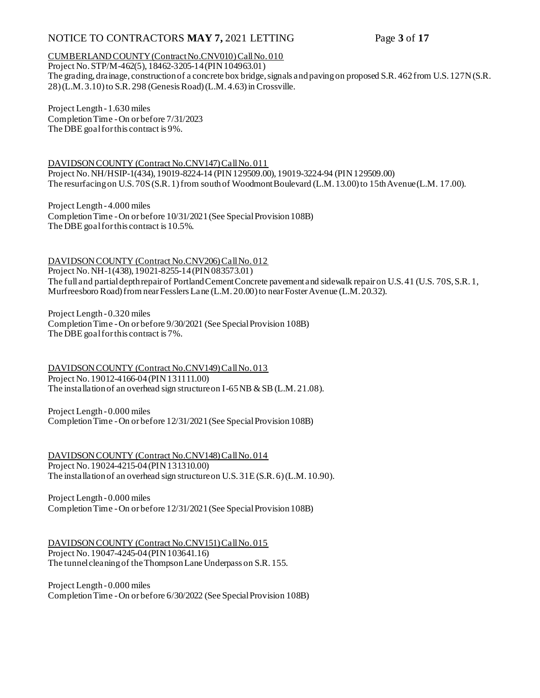### NOTICE TO CONTRACTORS MAY 7, 2021 LETTING Page 3 of 17

### CUMBERLAND COUNTY (Contract No.CNV010) Call No. 010

Project No. STP/M-462(5), 18462-3205-14 (PIN 104963.01) The grading, drainage, construction of a concrete box bridge, signals and paving on proposed S.R. 462 from U.S. 127N (S.R. 28) (L.M. 3.10) to S.R. 298 (Genesis Road) (L.M. 4.63) in Crossville.

Project Length - 1.630 miles Completion Time -On or before 7/31/2023 The DBE goal for this contract is 9%.

DAVIDSON COUNTY (Contract No.CNV147) Call No. 011 Project No. NH/HSIP-1(434), 19019-8224-14 (PIN 129509.00), 19019-3224-94 (PIN 129509.00) The resurfacing on U.S. 70S (S.R. 1) from south of Woodmont Boulevard (L.M. 13.00) to 15th Avenue (L.M. 17.00).

Project Length - 4.000 miles Completion Time -On or before 10/31/2021 (See Special Provision 108B) The DBE goal for this contract is 10.5%.

DAVIDSON COUNTY (Contract No.CNV206) Call No. 012 Project No. NH-1(438), 19021-8255-14 (PIN 083573.01) The full and partial depth repair of Portland Cement Concrete pavement and sidewalk repair on U.S. 41 (U.S. 70S, S.R. 1, Murfreesboro Road) from near Fesslers Lane (L.M. 20.00) to near Foster Avenue (L.M. 20.32).

Project Length - 0.320 miles Completion Time -On or before 9/30/2021 (See Special Provision 108B) The DBE goal for this contract is 7%.

DAVIDSON COUNTY (Contract No.CNV149) Call No. 013 Project No. 19012-4166-04 (PIN 131111.00) The installation of an overhead sign structure on I-65 NB & SB (L.M. 21.08).

Project Length - 0.000 miles Completion Time -On or before 12/31/2021 (See Special Provision 108B)

DAVIDSON COUNTY (Contract No.CNV148) Call No. 014 Project No. 19024-4215-04 (PIN 131310.00) The installation of an overhead sign structure on U.S. 31E (S.R. 6) (L.M. 10.90).

Project Length - 0.000 miles Completion Time -On or before 12/31/2021 (See Special Provision 108B)

DAVIDSON COUNTY (Contract No.CNV151) Call No. 015 Project No. 19047-4245-04 (PIN 103641.16) The tunnel cleaning of the Thompson Lane Underpass on S.R. 155.

Project Length - 0.000 miles Completion Time -On or before 6/30/2022 (See Special Provision 108B)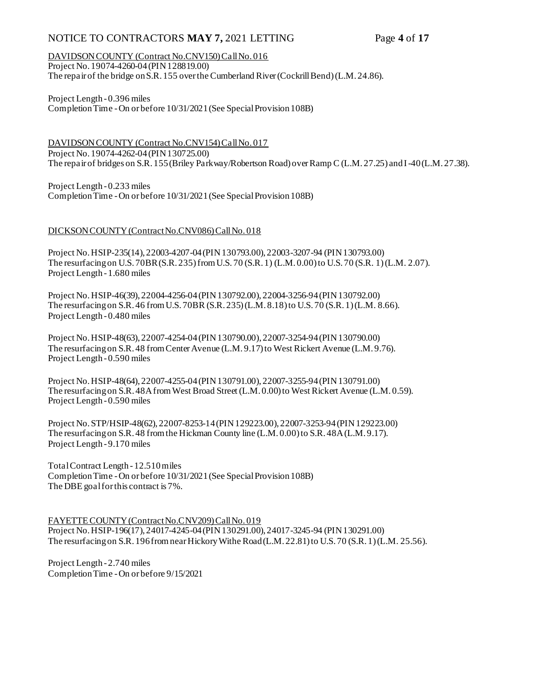### NOTICE TO CONTRACTORS MAY 7, 2021 LETTING Page 4 of 17

DAVIDSON COUNTY (Contract No.CNV150) Call No. 016 Project No. 19074-4260-04 (PIN 128819.00) The repair of the bridge on S.R. 155 over the Cumberland River (Cockrill Bend) (L.M. 24.86).

Project Length - 0.396 miles Completion Time -On or before 10/31/2021 (See Special Provision 108B)

DAVIDSON COUNTY (Contract No.CNV154) Call No. 017 Project No. 19074-4262-04 (PIN 130725.00) The repair of bridges on S.R. 155 (Briley Parkway/Robertson Road) over Ramp C (L.M. 27.25) and I-40 (L.M. 27.38).

Project Length - 0.233 miles Completion Time -On or before 10/31/2021 (See Special Provision 108B)

#### DICKSON COUNTY (Contract No.CNV086) Call No. 018

Project No. HSIP-235(14), 22003-4207-04 (PIN 130793.00), 22003-3207-94 (PIN 130793.00) The resurfacing on U.S. 70BR (S.R. 235) from U.S. 70 (S.R. 1) (L.M. 0.00) to U.S. 70 (S.R. 1) (L.M. 2.07). Project Length - 1.680 miles

Project No. HSIP-46(39), 22004-4256-04 (PIN 130792.00), 22004-3256-94 (PIN 130792.00) The resurfacing on S.R. 46 from U.S. 70BR (S.R. 235) (L.M. 8.18) to U.S. 70 (S.R. 1) (L.M. 8.66). Project Length - 0.480 miles

Project No. HSIP-48(63), 22007-4254-04 (PIN 130790.00), 22007-3254-94 (PIN 130790.00) The resurfacing on S.R. 48 from Center Avenue (L.M. 9.17) to West Rickert Avenue (L.M. 9.76). Project Length - 0.590 miles

Project No. HSIP-48(64), 22007-4255-04 (PIN 130791.00), 22007-3255-94 (PIN 130791.00) The resurfacing on S.R. 48A from West Broad Street (L.M. 0.00) to West Rickert Avenue (L.M. 0.59). Project Length - 0.590 miles

Project No. STP/HSIP-48(62), 22007-8253-14 (PIN 129223.00), 22007-3253-94 (PIN 129223.00) The resurfacing on S.R. 48 from the Hickman County line (L.M. 0.00) to S.R. 48A (L.M. 9.17). Project Length - 9.170 miles

Total Contract Length - 12.510 miles Completion Time -On or before 10/31/2021 (See Special Provision 108B) The DBE goal for this contract is 7%.

FAYETTE COUNTY (Contract No.CNV209) Call No. 019 Project No. HSIP-196(17), 24017-4245-04 (PIN 130291.00), 24017-3245-94 (PIN 130291.00) The resurfacing on S.R. 196 from near Hickory Withe Road (L.M. 22.81) to U.S. 70 (S.R. 1) (L.M. 25.56).

Project Length - 2.740 miles Completion Time -On or before 9/15/2021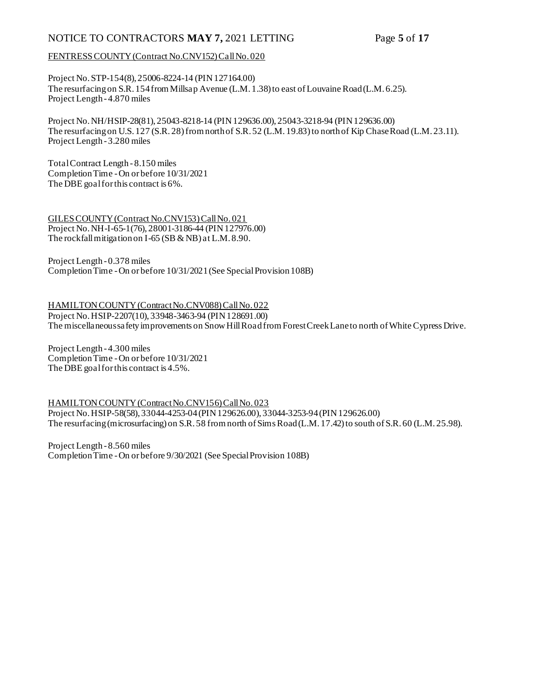### NOTICE TO CONTRACTORS MAY 7, 2021 LETTING Page 5 of 17

#### FENTRESS COUNTY (Contract No.CNV152) Call No. 020

Project No. STP-154(8), 25006-8224-14 (PIN 127164.00) The resurfacing on S.R. 154 from Millsap Avenue (L.M. 1.38) to east of Louvaine Road (L.M. 6.25). Project Length - 4.870 miles

Project No. NH/HSIP-28(81), 25043-8218-14 (PIN 129636.00), 25043-3218-94 (PIN 129636.00) The resurfacing on U.S. 127 (S.R. 28) from north of S.R. 52 (L.M. 19.83) to north of Kip Chase Road (L.M. 23.11). Project Length - 3.280 miles

Total Contract Length - 8.150 miles Completion Time -On or before 10/31/2021 The DBE goal for this contract is 6%.

GILES COUNTY (Contract No.CNV153) Call No. 021 Project No. NH-I-65-1(76), 28001-3186-44 (PIN 127976.00) The rockfall mitigation on I-65 (SB & NB) at L.M. 8.90.

Project Length - 0.378 miles Completion Time -On or before 10/31/2021 (See Special Provision 108B)

HAMILTON COUNTY (Contract No.CNV088) Call No. 022 Project No. HSIP-2207(10), 33948-3463-94 (PIN 128691.00) The miscellaneous safety improvements on Snow Hill Road from Forest Creek Lane to north of White Cypress Drive.

Project Length - 4.300 miles Completion Time -On or before 10/31/2021 The DBE goal for this contract is 4.5%.

#### HAMILTON COUNTY (Contract No.CNV156) Call No. 023

Project No. HSIP-58(58), 33044-4253-04 (PIN 129626.00), 33044-3253-94 (PIN 129626.00) The resurfacing (microsurfacing) on S.R. 58 from north of Sims Road (L.M. 17.42) to south of S.R. 60 (L.M. 25.98).

Project Length - 8.560 miles Completion Time -On or before 9/30/2021 (See Special Provision 108B)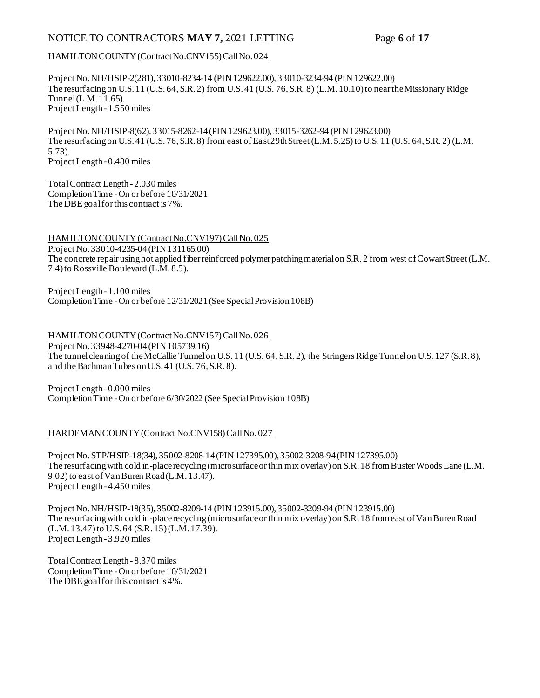### NOTICE TO CONTRACTORS MAY 7, 2021 LETTING Page 6 of 17

#### HAMILTON COUNTY (Contract No.CNV155) Call No. 024

Project No. NH/HSIP-2(281), 33010-8234-14 (PIN 129622.00), 33010-3234-94 (PIN 129622.00) The resurfacing on U.S. 11 (U.S. 64, S.R. 2) from U.S. 41 (U.S. 76, S.R. 8) (L.M. 10.10) to near the Missionary Ridge Tunnel (L.M. 11.65). Project Length - 1.550 miles

Project No. NH/HSIP-8(62), 33015-8262-14 (PIN 129623.00), 33015-3262-94 (PIN 129623.00) The resurfacing on U.S. 41 (U.S. 76, S.R. 8) from east of East 29th Street (L.M. 5.25) to U.S. 11 (U.S. 64, S.R. 2) (L.M. 5.73). Project Length - 0.480 miles

Total Contract Length - 2.030 miles Completion Time -On or before 10/31/2021 The DBE goal for this contract is 7%.

HAMILTON COUNTY (Contract No.CNV197) Call No. 025 Project No. 33010-4235-04 (PIN 131165.00) The concrete repair using hot applied fiber reinforced polymer patching material on S.R. 2 from west of Cowart Street (L.M. 7.4) to Rossville Boulevard (L.M. 8.5).

Project Length - 1.100 miles Completion Time -On or before 12/31/2021 (See Special Provision 108B)

HAMILTON COUNTY (Contract No.CNV157) Call No. 026 Project No. 33948-4270-04 (PIN 105739.16) The tunnel cleaning of the McCallie Tunnel on U.S. 11 (U.S. 64, S.R. 2), the Stringers Ridge Tunnel on U.S. 127 (S.R. 8), and the Bachman Tubes on U.S. 41 (U.S. 76, S.R. 8).

Project Length - 0.000 miles Completion Time -On or before 6/30/2022 (See Special Provision 108B)

#### HARDEMAN COUNTY (Contract No.CNV158) Call No. 027

Project No. STP/HSIP-18(34), 35002-8208-14 (PIN 127395.00), 35002-3208-94 (PIN 127395.00) The resurfacing with cold in-place recycling (microsurface or thin mix overlay) on S.R. 18 from Buster Woods Lane (L.M. 9.02) to east of Van Buren Road (L.M. 13.47). Project Length - 4.450 miles

Project No. NH/HSIP-18(35), 35002-8209-14 (PIN 123915.00), 35002-3209-94 (PIN 123915.00) The resurfacing with cold in-place recycling (microsurface or thin mix overlay) on S.R. 18 from east of Van Buren Road (L.M. 13.47) to U.S. 64 (S.R. 15) (L.M. 17.39). Project Length - 3.920 miles

Total Contract Length - 8.370 miles Completion Time -On or before 10/31/2021 The DBE goal for this contract is 4%.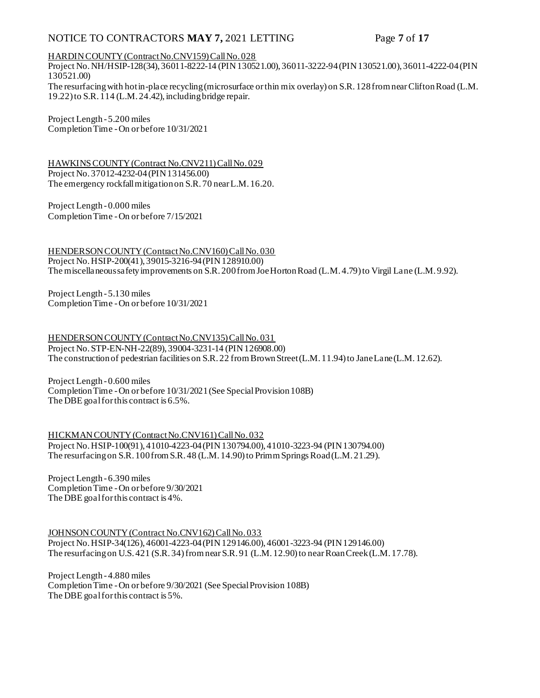### NOTICE TO CONTRACTORS MAY 7, 2021 LETTING Page 7 of 17

#### HARDIN COUNTY (Contract No.CNV159) Call No. 028

Project No. NH/HSIP-128(34), 36011-8222-14 (PIN 130521.00), 36011-3222-94 (PIN 130521.00), 36011-4222-04 (PIN 130521.00)

The resurfacing with hot in-place recycling (microsurface or thin mix overlay) on S.R. 128 from near Clifton Road (L.M. 19.22) to S.R. 114 (L.M. 24.42), including bridge repair.

Project Length - 5.200 miles Completion Time -On or before 10/31/2021

HAWKINS COUNTY (Contract No.CNV211) Call No. 029 Project No. 37012-4232-04 (PIN 131456.00) The emergency rockfall mitigation on S.R. 70 near L.M. 16.20.

Project Length - 0.000 miles Completion Time -On or before 7/15/2021

HENDERSON COUNTY (Contract No.CNV160) Call No. 030 Project No. HSIP-200(41), 39015-3216-94 (PIN 128910.00) The miscellaneous safety improvements on S.R. 200 from Joe Horton Road (L.M. 4.79) to Virgil Lane (L.M. 9.92).

Project Length - 5.130 miles Completion Time -On or before 10/31/2021

HENDERSON COUNTY (Contract No.CNV135) Call No. 031 Project No. STP-EN-NH-22(89), 39004-3231-14 (PIN 126908.00) The construction of pedestrian facilities on S.R. 22 from Brown Street (L.M. 11.94) to Jane Lane (L.M. 12.62).

Project Length - 0.600 miles Completion Time -On or before 10/31/2021 (See Special Provision 108B) The DBE goal for this contract is 6.5%.

HICKMAN COUNTY (Contract No.CNV161) Call No. 032 Project No. HSIP-100(91), 41010-4223-04 (PIN 130794.00), 41010-3223-94 (PIN 130794.00) The resurfacing on S.R. 100 from S.R. 48 (L.M. 14.90) to Primm Springs Road (L.M. 21.29).

Project Length - 6.390 miles Completion Time -On or before 9/30/2021 The DBE goal for this contract is 4%.

JOHNSON COUNTY (Contract No.CNV162) Call No. 033 Project No. HSIP-34(126), 46001-4223-04 (PIN 129146.00), 46001-3223-94 (PIN 129146.00) The resurfacing on U.S. 421 (S.R. 34) from near S.R. 91 (L.M. 12.90) to near Roan Creek (L.M. 17.78).

Project Length - 4.880 miles Completion Time -On or before 9/30/2021 (See Special Provision 108B) The DBE goal for this contract is 5%.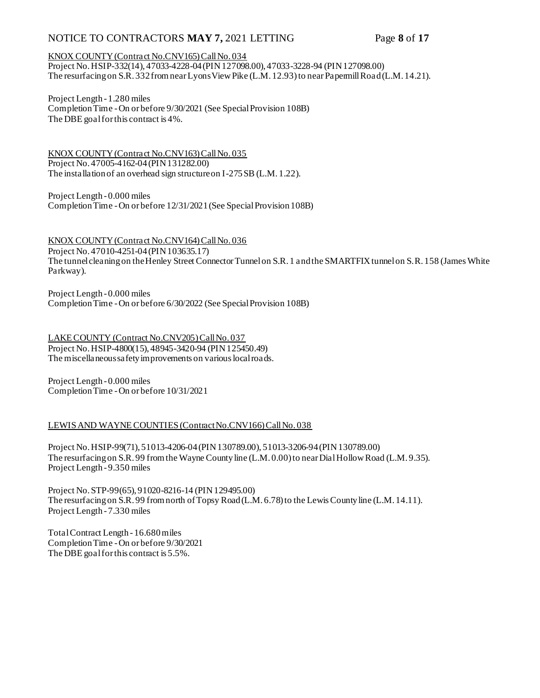### NOTICE TO CONTRACTORS MAY 7, 2021 LETTING Page 8 of 17

#### KNOX COUNTY (Contract No.CNV165) Call No. 034

Project No. HSIP-332(14), 47033-4228-04 (PIN 127098.00), 47033-3228-94 (PIN 127098.00) The resurfacing on S.R. 332 from near Lyons View Pike (L.M. 12.93) to near Papermill Road (L.M. 14.21).

Project Length - 1.280 miles Completion Time -On or before 9/30/2021 (See Special Provision 108B) The DBE goal for this contract is 4%.

KNOX COUNTY (Contract No.CNV163) Call No. 035 Project No. 47005-4162-04 (PIN 131282.00) The installation of an overhead sign structure on I-275 SB (L.M. 1.22).

Project Length - 0.000 miles Completion Time -On or before 12/31/2021 (See Special Provision 108B)

KNOX COUNTY (Contract No.CNV164) Call No. 036 Project No. 47010-4251-04 (PIN 103635.17) The tunnel cleaning on the Henley Street Connector Tunnel on S.R. 1 and the SMARTFIX tunnel on S.R. 158 (James White Parkway).

Project Length - 0.000 miles Completion Time -On or before 6/30/2022 (See Special Provision 108B)

LAKE COUNTY (Contract No.CNV205) Call No. 037 Project No. HSIP-4800(15), 48945-3420-94 (PIN 125450.49) The miscellaneous safety improvements on various local roads.

Project Length - 0.000 miles Completion Time -On or before 10/31/2021

#### LEWIS AND WAYNE COUNTIES (Contract No.CNV166) Call No. 038

Project No. HSIP-99(71), 51013-4206-04 (PIN 130789.00), 51013-3206-94 (PIN 130789.00) The resurfacing on S.R. 99 from the Wayne County line (L.M. 0.00) to near Dial Hollow Road (L.M. 9.35). Project Length - 9.350 miles

Project No. STP-99(65), 91020-8216-14 (PIN 129495.00) The resurfacing on S.R. 99 from north of Topsy Road (L.M. 6.78) to the Lewis County line (L.M. 14.11). Project Length - 7.330 miles

Total Contract Length - 16.680 miles Completion Time -On or before 9/30/2021 The DBE goal for this contract is 5.5%.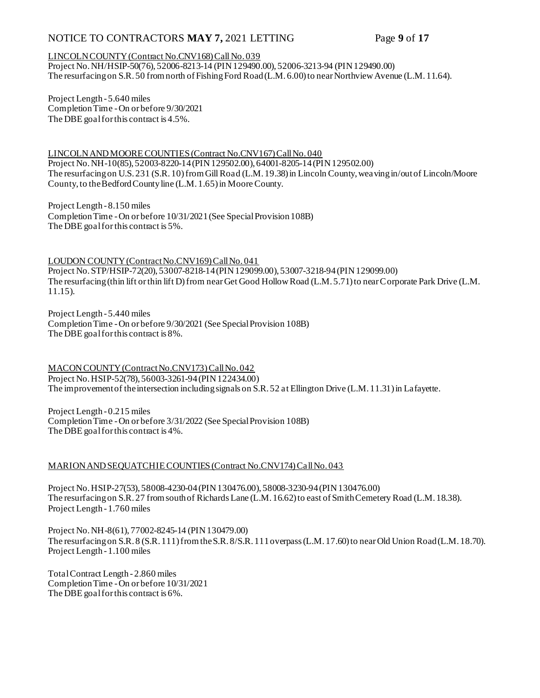### NOTICE TO CONTRACTORS MAY 7, 2021 LETTING Page 9 of 17

#### LINCOLN COUNTY (Contract No.CNV168) Call No. 039

Project No. NH/HSIP-50(76), 52006-8213-14 (PIN 129490.00), 52006-3213-94 (PIN 129490.00) The resurfacing on S.R. 50 from north of Fishing Ford Road (L.M. 6.00) to near Northview Avenue (L.M. 11.64).

Project Length - 5.640 miles Completion Time -On or before 9/30/2021 The DBE goal for this contract is 4.5%.

LINCOLN AND MOORE COUNTIES (Contract No.CNV167) Call No. 040 Project No. NH-10(85), 52003-8220-14 (PIN 129502.00), 64001-8205-14 (PIN 129502.00) The resurfacing on U.S. 231 (S.R. 10) from Gill Road (L.M. 19.38) in Lincoln County, weaving in/out of Lincoln/Moore County, to the Bedford County line (L.M. 1.65) in Moore County.

Project Length - 8.150 miles Completion Time -On or before 10/31/2021 (See Special Provision 108B) The DBE goal for this contract is 5%.

LOUDON COUNTY (Contract No.CNV169) Call No. 041

Project No. STP/HSIP-72(20), 53007-8218-14 (PIN 129099.00), 53007-3218-94 (PIN 129099.00) The resurfacing (thin lift or thin lift D) from near Get Good Hollow Road (L.M. 5.71) to near Corporate Park Drive (L.M. 11.15).

Project Length - 5.440 miles Completion Time -On or before 9/30/2021 (See Special Provision 108B) The DBE goal for this contract is 8%.

MACON COUNTY (Contract No.CNV173) Call No. 042 Project No. HSIP-52(78), 56003-3261-94 (PIN 122434.00) The improvement of the intersection including signals on S.R. 52 at Ellington Drive (L.M. 11.31) in Lafayette.

Project Length - 0.215 miles Completion Time -On or before 3/31/2022 (See Special Provision 108B) The DBE goal for this contract is 4%.

#### MARION AND SEQUATCHIE COUNTIES (Contract No.CNV174) Call No. 043

Project No. HSIP-27(53), 58008-4230-04 (PIN 130476.00), 58008-3230-94 (PIN 130476.00) The resurfacing on S.R. 27 from south of Richards Lane (L.M. 16.62) to east of Smith Cemetery Road (L.M. 18.38). Project Length - 1.760 miles

Project No. NH-8(61), 77002-8245-14 (PIN 130479.00) The resurfacing on S.R. 8 (S.R. 111) from the S.R. 8/S.R. 111 overpass (L.M. 17.60) to near Old Union Road (L.M. 18.70). Project Length - 1.100 miles

Total Contract Length - 2.860 miles Completion Time -On or before 10/31/2021 The DBE goal for this contract is 6%.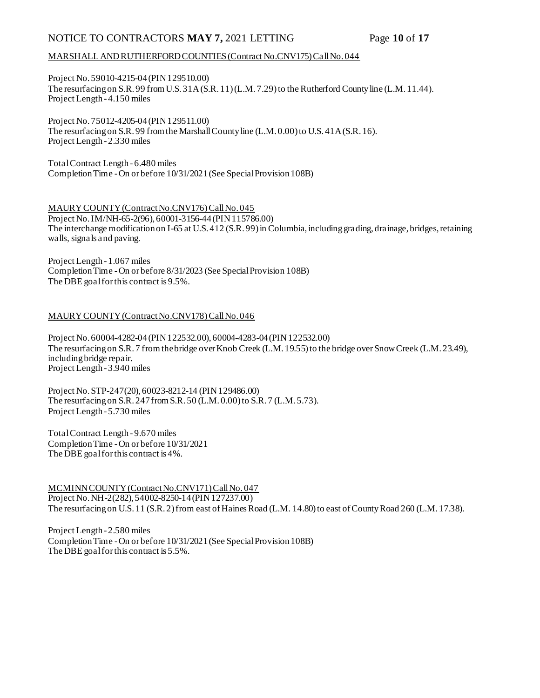### NOTICE TO CONTRACTORS **MAY 7,** 2021 LETTING Page **10** of **17**

#### MARSHALL AND RUTHERFORD COUNTIES (Contract No.CNV175) Call No. 044

Project No. 59010-4215-04 (PIN 129510.00) The resurfacing on S.R. 99 from U.S. 31A (S.R. 11) (L.M. 7.29) to the Rutherford County line (L.M. 11.44). Project Length - 4.150 miles

Project No. 75012-4205-04 (PIN 129511.00) The resurfacing on S.R. 99 from the Marshall County line (L.M. 0.00) to U.S. 41A (S.R. 16). Project Length - 2.330 miles

Total Contract Length - 6.480 miles Completion Time -On or before 10/31/2021 (See Special Provision 108B)

MAURY COUNTY (Contract No.CNV176) Call No. 045 Project No. IM/NH-65-2(96), 60001-3156-44 (PIN 115786.00) The interchange modification on I-65 at U.S. 412 (S.R. 99) in Columbia, including grading, drainage, bridges, retaining walls, signals and paving.

Project Length - 1.067 miles Completion Time -On or before 8/31/2023 (See Special Provision 108B) The DBE goal for this contract is 9.5%.

#### MAURY COUNTY (Contract No.CNV178) Call No. 046

Project No. 60004-4282-04 (PIN 122532.00), 60004-4283-04 (PIN 122532.00) The resurfacing on S.R. 7 from the bridge over Knob Creek (L.M. 19.55) to the bridge over Snow Creek (L.M. 23.49), including bridge repair. Project Length - 3.940 miles

Project No. STP-247(20), 60023-8212-14 (PIN 129486.00) The resurfacing on S.R. 247 from S.R. 50 (L.M. 0.00) to S.R. 7 (L.M. 5.73). Project Length - 5.730 miles

Total Contract Length - 9.670 miles Completion Time -On or before 10/31/2021 The DBE goal for this contract is 4%.

MCMINN COUNTY (Contract No.CNV171) Call No. 047 Project No. NH-2(282), 54002-8250-14 (PIN 127237.00) The resurfacing on U.S. 11 (S.R. 2) from east of Haines Road (L.M. 14.80) to east of County Road 260 (L.M. 17.38).

Project Length - 2.580 miles Completion Time -On or before 10/31/2021 (See Special Provision 108B) The DBE goal for this contract is 5.5%.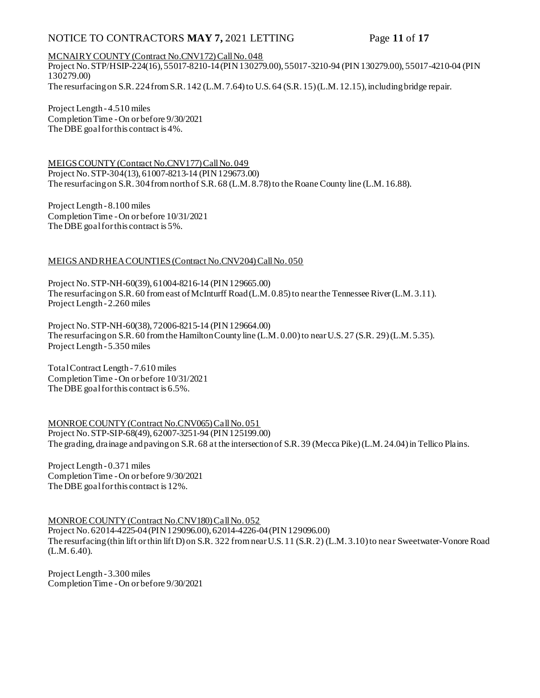### NOTICE TO CONTRACTORS **MAY 7,** 2021 LETTING Page **11** of **17**

#### MCNAIRY COUNTY (Contract No.CNV172) Call No. 048

Project No. STP/HSIP-224(16), 55017-8210-14 (PIN 130279.00), 55017-3210-94 (PIN 130279.00), 55017-4210-04 (PIN 130279.00) The resurfacing on S.R. 224 from S.R. 142 (L.M. 7.64) to U.S. 64 (S.R. 15) (L.M. 12.15), including bridge repair.

Project Length - 4.510 miles Completion Time -On or before 9/30/2021 The DBE goal for this contract is 4%.

MEIGS COUNTY (Contract No.CNV177) Call No. 049 Project No. STP-304(13), 61007-8213-14 (PIN 129673.00) The resurfacing on S.R. 304 from north of S.R. 68 (L.M. 8.78) to the Roane County line (L.M. 16.88).

Project Length - 8.100 miles Completion Time -On or before 10/31/2021 The DBE goal for this contract is 5%.

#### MEIGS AND RHEA COUNTIES (Contract No.CNV204) Call No. 050

Project No. STP-NH-60(39), 61004-8216-14 (PIN 129665.00) The resurfacing on S.R. 60 from east of McInturff Road (L.M. 0.85) to near the Tennessee River (L.M. 3.11). Project Length - 2.260 miles

Project No. STP-NH-60(38), 72006-8215-14 (PIN 129664.00) The resurfacing on S.R. 60 from the Hamilton County line (L.M. 0.00) to near U.S. 27 (S.R. 29) (L.M. 5.35). Project Length - 5.350 miles

Total Contract Length - 7.610 miles Completion Time -On or before 10/31/2021 The DBE goal for this contract is 6.5%.

MONROE COUNTY (Contract No.CNV065) Call No. 051 Project No. STP-SIP-68(49), 62007-3251-94 (PIN 125199.00) The grading, drainage and paving on S.R. 68 at the intersection of S.R. 39 (Mecca Pike) (L.M. 24.04) in Tellico Plains.

Project Length - 0.371 miles Completion Time -On or before 9/30/2021 The DBE goal for this contract is 12%.

MONROE COUNTY (Contract No.CNV180) Call No. 052 Project No. 62014-4225-04 (PIN 129096.00), 62014-4226-04 (PIN 129096.00) The resurfacing (thin lift or thin lift D) on S.R. 322 from near U.S. 11 (S.R. 2) (L.M. 3.10) to near Sweetwater-Vonore Road (L.M. 6.40).

Project Length - 3.300 miles Completion Time -On or before 9/30/2021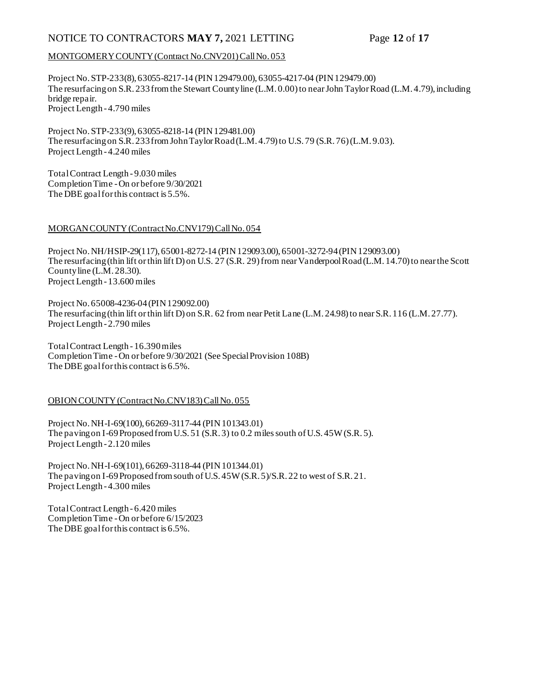### NOTICE TO CONTRACTORS **MAY 7,** 2021 LETTING Page **12** of **17**

#### MONTGOMERY COUNTY (Contract No.CNV201) Call No. 053

Project No. STP-233(8), 63055-8217-14 (PIN 129479.00), 63055-4217-04 (PIN 129479.00) The resurfacing on S.R. 233 from the Stewart County line (L.M. 0.00) to near John Taylor Road (L.M. 4.79), including bridge repair. Project Length - 4.790 miles

Project No. STP-233(9), 63055-8218-14 (PIN 129481.00) The resurfacing on S.R. 233 from John Taylor Road (L.M. 4.79) to U.S. 79 (S.R. 76) (L.M. 9.03). Project Length - 4.240 miles

Total Contract Length - 9.030 miles Completion Time -On or before 9/30/2021 The DBE goal for this contract is 5.5%.

#### MORGAN COUNTY (Contract No.CNV179) Call No. 054

Project No. NH/HSIP-29(117), 65001-8272-14 (PIN 129093.00), 65001-3272-94 (PIN 129093.00) The resurfacing (thin lift or thin lift D) on U.S. 27 (S.R. 29) from near Vanderpool Road (L.M. 14.70) to near the Scott County line (L.M. 28.30). Project Length - 13.600 miles

Project No. 65008-4236-04 (PIN 129092.00) The resurfacing (thin lift or thin lift D) on S.R. 62 from near Petit Lane (L.M. 24.98) to near S.R. 116 (L.M. 27.77). Project Length - 2.790 miles

Total Contract Length - 16.390 miles Completion Time -On or before 9/30/2021 (See Special Provision 108B) The DBE goal for this contract is 6.5%.

#### OBION COUNTY (Contract No.CNV183) Call No. 055

Project No. NH-I-69(100), 66269-3117-44 (PIN 101343.01) The paving on I-69 Proposed from U.S. 51 (S.R. 3) to 0.2 miles south of U.S. 45W (S.R. 5). Project Length - 2.120 miles

Project No. NH-I-69(101), 66269-3118-44 (PIN 101344.01) The paving on I-69 Proposed from south of U.S. 45W (S.R. 5)/S.R. 22 to west of S.R. 21. Project Length - 4.300 miles

Total Contract Length - 6.420 miles Completion Time -On or before 6/15/2023 The DBE goal for this contract is 6.5%.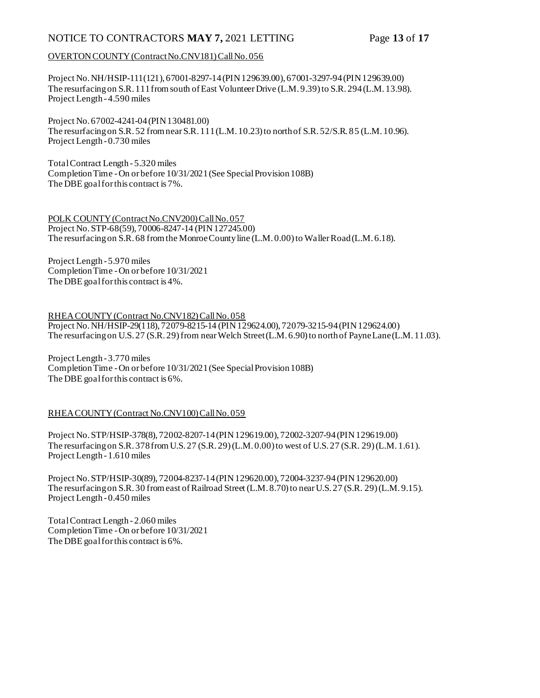### NOTICE TO CONTRACTORS **MAY 7,** 2021 LETTING Page **13** of **17**

#### OVERTON COUNTY (Contract No.CNV181) Call No. 056

Project No. NH/HSIP-111(121), 67001-8297-14 (PIN 129639.00), 67001-3297-94 (PIN 129639.00) The resurfacing on S.R. 111 from south of East Volunteer Drive (L.M. 9.39) to S.R. 294 (L.M. 13.98). Project Length - 4.590 miles

Project No. 67002-4241-04 (PIN 130481.00) The resurfacing on S.R. 52 from near S.R. 111 (L.M. 10.23) to north of S.R. 52/S.R. 85 (L.M. 10.96). Project Length - 0.730 miles

Total Contract Length - 5.320 miles Completion Time -On or before 10/31/2021 (See Special Provision 108B) The DBE goal for this contract is 7%.

POLK COUNTY (Contract No.CNV200) Call No. 057 Project No. STP-68(59), 70006-8247-14 (PIN 127245.00) The resurfacing on S.R. 68 from the Monroe County line (L.M. 0.00) to Waller Road (L.M. 6.18).

Project Length - 5.970 miles Completion Time -On or before 10/31/2021 The DBE goal for this contract is 4%.

RHEA COUNTY (Contract No.CNV182) Call No. 058 Project No. NH/HSIP-29(118), 72079-8215-14 (PIN 129624.00), 72079-3215-94 (PIN 129624.00) The resurfacing on U.S. 27 (S.R. 29) from near Welch Street (L.M. 6.90) to north of Payne Lane (L.M. 11.03).

Project Length - 3.770 miles Completion Time -On or before 10/31/2021 (See Special Provision 108B) The DBE goal for this contract is 6%.

#### RHEA COUNTY (Contract No.CNV100) Call No. 059

Project No. STP/HSIP-378(8), 72002-8207-14 (PIN 129619.00), 72002-3207-94 (PIN 129619.00) The resurfacing on S.R. 378 from U.S. 27 (S.R. 29) (L.M. 0.00) to west of U.S. 27 (S.R. 29) (L.M. 1.61). Project Length - 1.610 miles

Project No. STP/HSIP-30(89), 72004-8237-14 (PIN 129620.00), 72004-3237-94 (PIN 129620.00) The resurfacing on S.R. 30 from east of Railroad Street (L.M. 8.70) to near U.S. 27 (S.R. 29) (L.M. 9.15). Project Length - 0.450 miles

Total Contract Length - 2.060 miles Completion Time -On or before 10/31/2021 The DBE goal for this contract is 6%.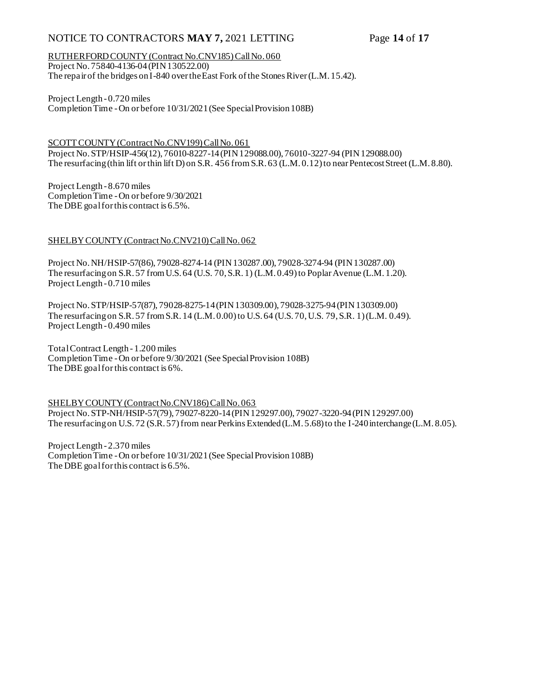### NOTICE TO CONTRACTORS **MAY 7,** 2021 LETTING Page **14** of **17**

RUTHERFORD COUNTY (Contract No.CNV185) Call No. 060 Project No. 75840-4136-04 (PIN 130522.00) The repair of the bridges on I-840 over the East Fork of the Stones River (L.M. 15.42).

Project Length - 0.720 miles Completion Time -On or before 10/31/2021 (See Special Provision 108B)

SCOTT COUNTY (Contract No.CNV199) Call No. 061 Project No. STP/HSIP-456(12), 76010-8227-14 (PIN 129088.00), 76010-3227-94 (PIN 129088.00) The resurfacing (thin lift or thin lift D) on S.R. 456 from S.R. 63 (L.M. 0.12) to near Pentecost Street (L.M. 8.80).

Project Length - 8.670 miles Completion Time -On or before 9/30/2021 The DBE goal for this contract is 6.5%.

#### SHELBY COUNTY (Contract No.CNV210) Call No. 062

Project No. NH/HSIP-57(86), 79028-8274-14 (PIN 130287.00), 79028-3274-94 (PIN 130287.00) The resurfacing on S.R. 57 from U.S. 64 (U.S. 70, S.R. 1) (L.M. 0.49) to Poplar Avenue (L.M. 1.20). Project Length - 0.710 miles

Project No. STP/HSIP-57(87), 79028-8275-14 (PIN 130309.00), 79028-3275-94 (PIN 130309.00) The resurfacing on S.R. 57 from S.R. 14 (L.M. 0.00) to U.S. 64 (U.S. 70, U.S. 79, S.R. 1) (L.M. 0.49). Project Length - 0.490 miles

Total Contract Length - 1.200 miles Completion Time -On or before 9/30/2021 (See Special Provision 108B) The DBE goal for this contract is 6%.

SHELBY COUNTY (Contract No.CNV186) Call No. 063 Project No. STP-NH/HSIP-57(79), 79027-8220-14 (PIN 129297.00), 79027-3220-94 (PIN 129297.00) The resurfacing on U.S. 72 (S.R. 57) from near Perkins Extended (L.M. 5.68) to the I-240 interchange (L.M. 8.05).

Project Length - 2.370 miles Completion Time -On or before 10/31/2021 (See Special Provision 108B) The DBE goal for this contract is 6.5%.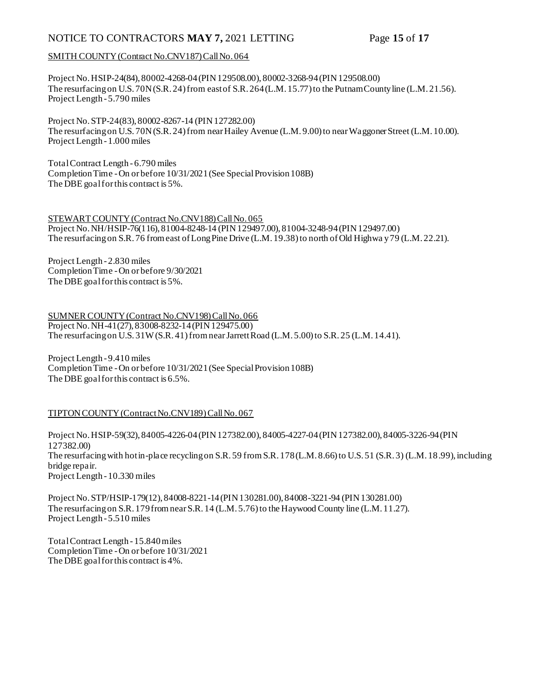### NOTICE TO CONTRACTORS **MAY 7,** 2021 LETTING Page **15** of **17**

#### SMITH COUNTY (Contract No.CNV187) Call No. 064

Project No. HSIP-24(84), 80002-4268-04 (PIN 129508.00), 80002-3268-94 (PIN 129508.00) The resurfacing on U.S. 70N (S.R. 24) from east of S.R. 264 (L.M. 15.77) to the Putnam County line (L.M. 21.56). Project Length - 5.790 miles

Project No. STP-24(83), 80002-8267-14 (PIN 127282.00) The resurfacing on U.S. 70N (S.R. 24) from near Hailey Avenue (L.M. 9.00) to near Waggoner Street (L.M. 10.00). Project Length - 1.000 miles

Total Contract Length - 6.790 miles Completion Time -On or before 10/31/2021 (See Special Provision 108B) The DBE goal for this contract is 5%.

### STEWART COUNTY (Contract No.CNV188) Call No. 065

Project No. NH/HSIP-76(116), 81004-8248-14 (PIN 129497.00), 81004-3248-94 (PIN 129497.00) The resurfacing on S.R. 76 from east of Long Pine Drive (L.M. 19.38) to north of Old Highwa y 79 (L.M. 22.21).

Project Length - 2.830 miles Completion Time -On or before 9/30/2021 The DBE goal for this contract is 5%.

SUMNER COUNTY (Contract No.CNV198) Call No. 066 Project No. NH-41(27), 83008-8232-14 (PIN 129475.00) The resurfacing on U.S. 31W (S.R. 41) from near Jarrett Road (L.M. 5.00) to S.R. 25 (L.M. 14.41).

Project Length - 9.410 miles Completion Time -On or before 10/31/2021 (See Special Provision 108B) The DBE goal for this contract is 6.5%.

#### TIPTON COUNTY (Contract No.CNV189) Call No. 067

Project No. HSIP-59(32), 84005-4226-04 (PIN 127382.00), 84005-4227-04 (PIN 127382.00), 84005-3226-94 (PIN 127382.00) The resurfacing with hot in-place recycling on S.R. 59 from S.R. 178 (L.M. 8.66) to U.S. 51 (S.R. 3) (L.M. 18.99), including bridge repair. Project Length - 10.330 miles

Project No. STP/HSIP-179(12), 84008-8221-14 (PIN 130281.00), 84008-3221-94 (PIN 130281.00) The resurfacing on S.R. 179 from near S.R. 14 (L.M. 5.76) to the Haywood County line (L.M. 11.27). Project Length - 5.510 miles

Total Contract Length - 15.840 miles Completion Time -On or before 10/31/2021 The DBE goal for this contract is 4%.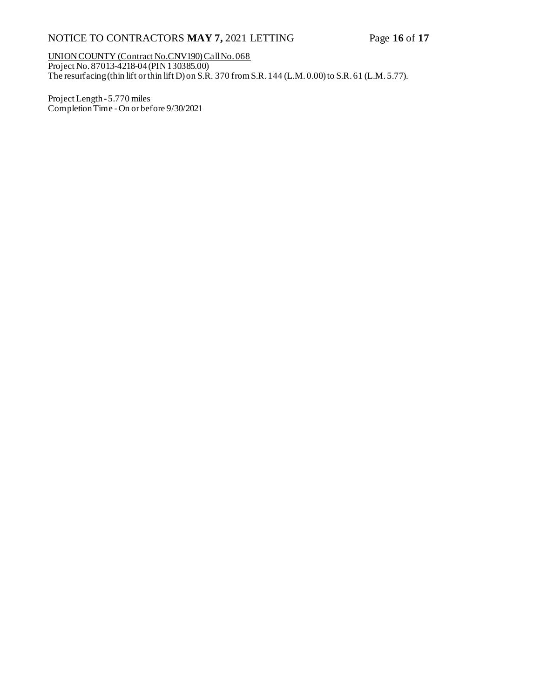## NOTICE TO CONTRACTORS **MAY 7,** 2021 LETTING Page **16** of **17**

UNION COUNTY (Contract No.CNV190) Call No. 068 Project No. 87013-4218-04 (PIN 130385.00) The resurfacing (thin lift or thin lift D) on S.R. 370 from S.R. 144 (L.M. 0.00) to S.R. 61 (L.M. 5.77).

Project Length - 5.770 miles Completion Time -On or before 9/30/2021